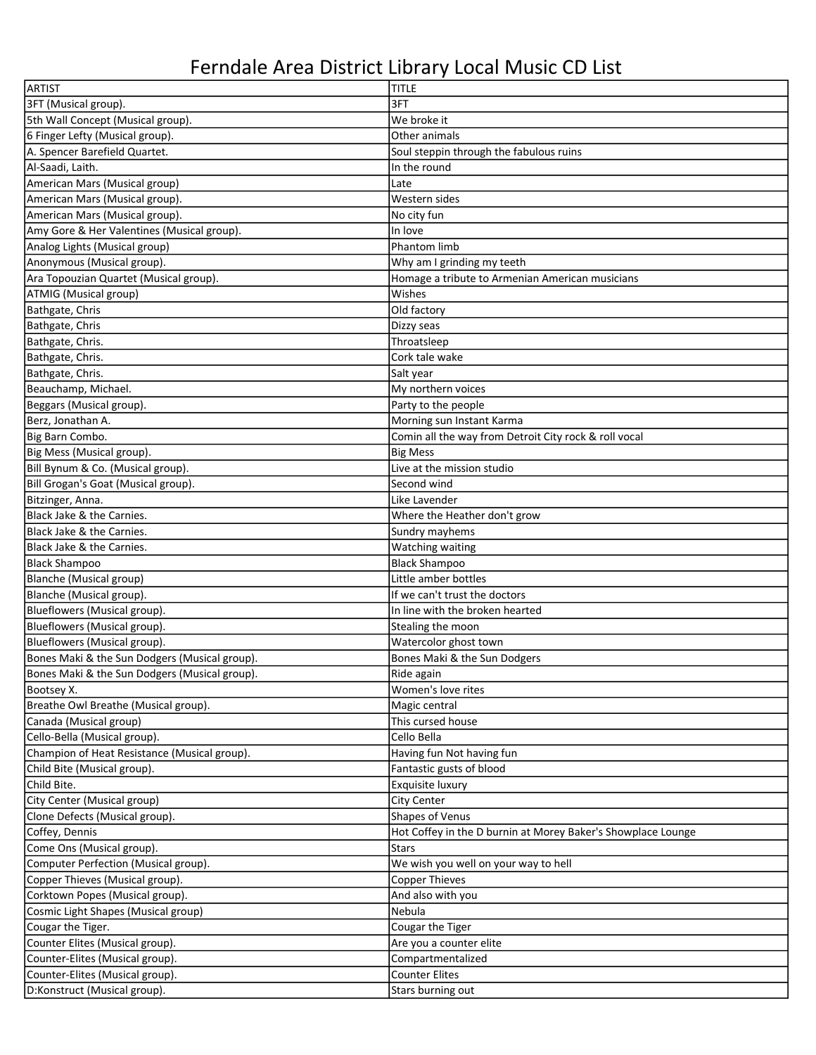## Ferndale Area District Library Local Music CD List

| ARTIST                                        | <b>TITLE</b>                                                 |
|-----------------------------------------------|--------------------------------------------------------------|
| 3FT (Musical group).                          | 3FT                                                          |
| 5th Wall Concept (Musical group).             | We broke it                                                  |
| 6 Finger Lefty (Musical group).               | Other animals                                                |
| A. Spencer Barefield Quartet.                 | Soul steppin through the fabulous ruins                      |
| Al-Saadi, Laith.                              | In the round                                                 |
| American Mars (Musical group)                 | Late                                                         |
| American Mars (Musical group).                | Western sides                                                |
| American Mars (Musical group).                | No city fun                                                  |
| Amy Gore & Her Valentines (Musical group).    | In love                                                      |
| Analog Lights (Musical group)                 | Phantom limb                                                 |
| Anonymous (Musical group).                    | Why am I grinding my teeth                                   |
| Ara Topouzian Quartet (Musical group).        | Homage a tribute to Armenian American musicians              |
| ATMIG (Musical group)                         | Wishes                                                       |
| Bathgate, Chris                               | Old factory                                                  |
| Bathgate, Chris                               | Dizzy seas                                                   |
| Bathgate, Chris.                              | Throatsleep                                                  |
| Bathgate, Chris.                              | Cork tale wake                                               |
| Bathgate, Chris.                              | Salt year                                                    |
| Beauchamp, Michael.                           | My northern voices                                           |
| Beggars (Musical group).                      | Party to the people                                          |
| Berz, Jonathan A.                             | Morning sun Instant Karma                                    |
| Big Barn Combo.                               | Comin all the way from Detroit City rock & roll vocal        |
| Big Mess (Musical group).                     | <b>Big Mess</b>                                              |
| Bill Bynum & Co. (Musical group).             | Live at the mission studio                                   |
| Bill Grogan's Goat (Musical group).           | Second wind                                                  |
| Bitzinger, Anna.                              | Like Lavender                                                |
| Black Jake & the Carnies.                     | Where the Heather don't grow                                 |
| Black Jake & the Carnies.                     | Sundry mayhems                                               |
| Black Jake & the Carnies.                     | <b>Watching waiting</b>                                      |
| Black Shampoo                                 | <b>Black Shampoo</b>                                         |
| Blanche (Musical group)                       | Little amber bottles                                         |
| Blanche (Musical group).                      | If we can't trust the doctors                                |
| Blueflowers (Musical group).                  | In line with the broken hearted                              |
| Blueflowers (Musical group).                  | Stealing the moon                                            |
| Blueflowers (Musical group).                  | Watercolor ghost town                                        |
| Bones Maki & the Sun Dodgers (Musical group). | Bones Maki & the Sun Dodgers                                 |
| Bones Maki & the Sun Dodgers (Musical group). | Ride again                                                   |
| Bootsey X.                                    | Women's love rites                                           |
| Breathe Owl Breathe (Musical group).          | Magic central                                                |
| Canada (Musical group)                        | This cursed house                                            |
| Cello-Bella (Musical group).                  | Cello Bella                                                  |
| Champion of Heat Resistance (Musical group).  | Having fun Not having fun                                    |
| Child Bite (Musical group).                   | Fantastic gusts of blood                                     |
| Child Bite.                                   | Exquisite luxury                                             |
| City Center (Musical group)                   | <b>City Center</b>                                           |
| Clone Defects (Musical group).                | Shapes of Venus                                              |
| Coffey, Dennis                                | Hot Coffey in the D burnin at Morey Baker's Showplace Lounge |
| Come Ons (Musical group).                     | <b>Stars</b>                                                 |
| Computer Perfection (Musical group).          | We wish you well on your way to hell                         |
| Copper Thieves (Musical group).               | <b>Copper Thieves</b>                                        |
| Corktown Popes (Musical group).               | And also with you                                            |
| Cosmic Light Shapes (Musical group)           | Nebula                                                       |
| Cougar the Tiger.                             | Cougar the Tiger                                             |
| Counter Elites (Musical group).               | Are you a counter elite                                      |
| Counter-Elites (Musical group).               | Compartmentalized                                            |
| Counter-Elites (Musical group).               | <b>Counter Elites</b>                                        |
| D:Konstruct (Musical group).                  | Stars burning out                                            |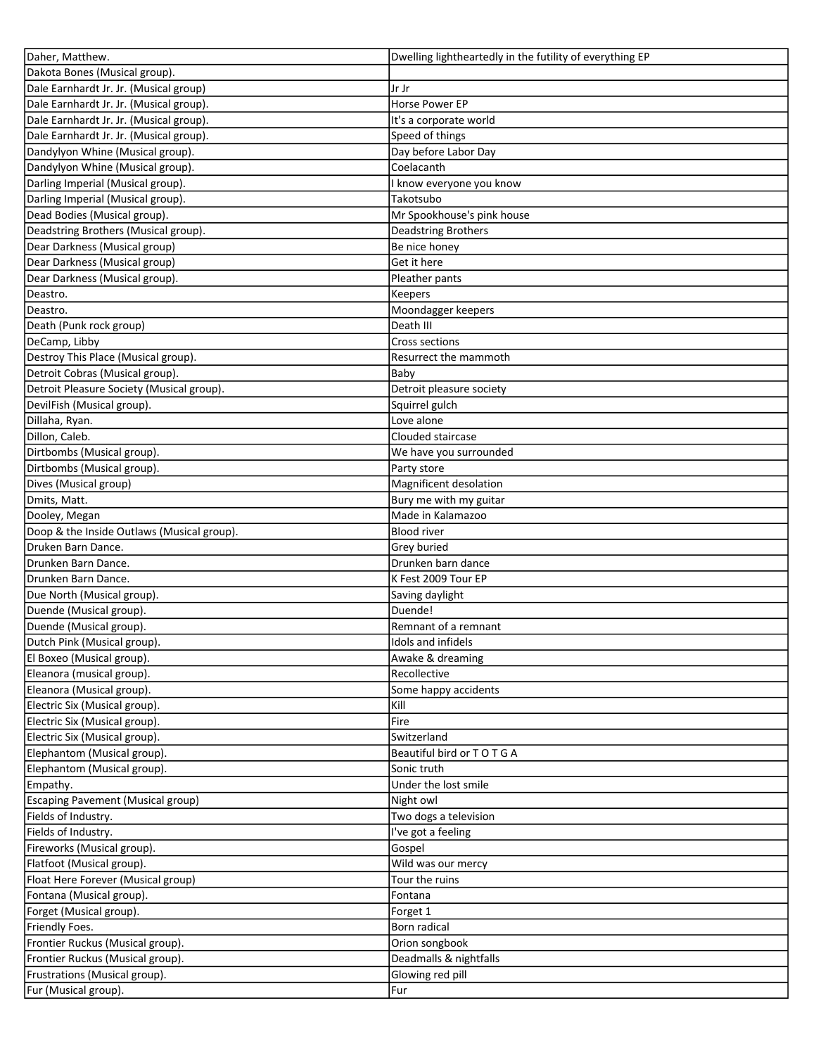| Daher, Matthew.                            | Dwelling lightheartedly in the futility of everything EP |
|--------------------------------------------|----------------------------------------------------------|
| Dakota Bones (Musical group).              |                                                          |
| Dale Earnhardt Jr. Jr. (Musical group)     | Jr Jr                                                    |
| Dale Earnhardt Jr. Jr. (Musical group).    | Horse Power EP                                           |
| Dale Earnhardt Jr. Jr. (Musical group).    | It's a corporate world                                   |
| Dale Earnhardt Jr. Jr. (Musical group).    | Speed of things                                          |
| Dandylyon Whine (Musical group).           | Day before Labor Day                                     |
| Dandylyon Whine (Musical group).           | Coelacanth                                               |
| Darling Imperial (Musical group).          | know everyone you know                                   |
| Darling Imperial (Musical group).          | Takotsubo                                                |
| Dead Bodies (Musical group).               | Mr Spookhouse's pink house                               |
| Deadstring Brothers (Musical group).       | <b>Deadstring Brothers</b>                               |
| Dear Darkness (Musical group)              | Be nice honey                                            |
| Dear Darkness (Musical group)              | Get it here                                              |
| Dear Darkness (Musical group).             | Pleather pants                                           |
| Deastro.                                   | Keepers                                                  |
|                                            |                                                          |
| Deastro.                                   | Moondagger keepers                                       |
| Death (Punk rock group)                    | Death III                                                |
| DeCamp, Libby                              | Cross sections                                           |
| Destroy This Place (Musical group).        | Resurrect the mammoth                                    |
| Detroit Cobras (Musical group).            | Baby                                                     |
| Detroit Pleasure Society (Musical group).  | Detroit pleasure society                                 |
| DevilFish (Musical group).                 | Squirrel gulch                                           |
| Dillaha, Ryan.                             | Love alone                                               |
| Dillon, Caleb.                             | Clouded staircase                                        |
| Dirtbombs (Musical group).                 | We have you surrounded                                   |
| Dirtbombs (Musical group).                 | Party store                                              |
| Dives (Musical group)                      | Magnificent desolation                                   |
| Dmits, Matt.                               | Bury me with my guitar                                   |
| Dooley, Megan                              | Made in Kalamazoo                                        |
| Doop & the Inside Outlaws (Musical group). | <b>Blood river</b>                                       |
| Druken Barn Dance.                         | Grey buried                                              |
| Drunken Barn Dance.                        | Drunken barn dance                                       |
| Drunken Barn Dance.                        | K Fest 2009 Tour EP                                      |
| Due North (Musical group).                 | Saving daylight                                          |
| Duende (Musical group).                    | Duende!                                                  |
| Duende (Musical group).                    | Remnant of a remnant                                     |
| Dutch Pink (Musical group).                | Idols and infidels                                       |
| El Boxeo (Musical group).                  | Awake & dreaming                                         |
| Eleanora (musical group).                  | Recollective                                             |
| Eleanora (Musical group).                  | Some happy accidents                                     |
| Electric Six (Musical group).              | Kill                                                     |
| Electric Six (Musical group).              | Fire                                                     |
| Electric Six (Musical group).              | Switzerland                                              |
| Elephantom (Musical group).                | Beautiful bird or TO TGA                                 |
| Elephantom (Musical group).                | Sonic truth                                              |
|                                            |                                                          |
| Empathy.                                   | Under the lost smile                                     |
| Escaping Pavement (Musical group)          | Night owl                                                |
| Fields of Industry.                        | Two dogs a television                                    |
| Fields of Industry.                        | I've got a feeling                                       |
| Fireworks (Musical group).                 | Gospel                                                   |
| Flatfoot (Musical group).                  | Wild was our mercy                                       |
| Float Here Forever (Musical group)         | Tour the ruins                                           |
| Fontana (Musical group).                   | Fontana                                                  |
| Forget (Musical group).                    | Forget 1                                                 |
| Friendly Foes.                             | Born radical                                             |
| Frontier Ruckus (Musical group).           | Orion songbook                                           |
| Frontier Ruckus (Musical group).           | Deadmalls & nightfalls                                   |
| Frustrations (Musical group).              | Glowing red pill                                         |
| Fur (Musical group).                       | Fur                                                      |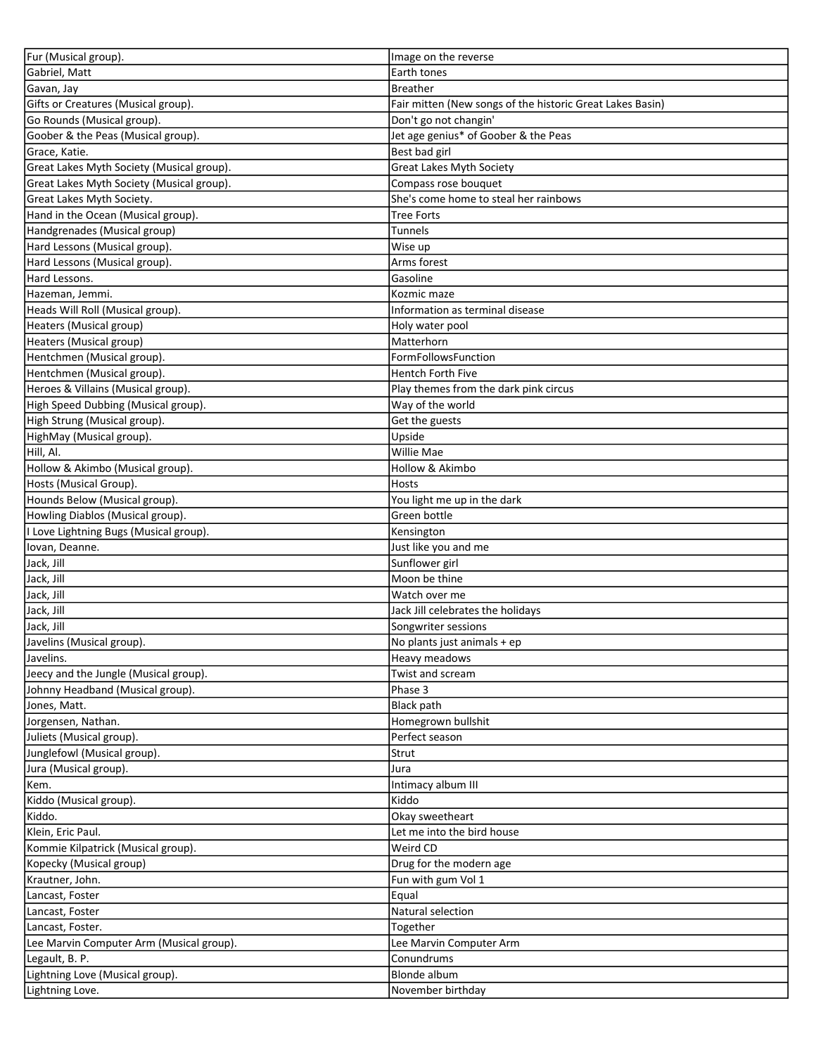| Fur (Musical group).                      | Image on the reverse                                      |
|-------------------------------------------|-----------------------------------------------------------|
| Gabriel, Matt                             | Earth tones                                               |
| Gavan, Jay                                | <b>Breather</b>                                           |
| Gifts or Creatures (Musical group).       | Fair mitten (New songs of the historic Great Lakes Basin) |
| Go Rounds (Musical group).                | Don't go not changin'                                     |
| Goober & the Peas (Musical group).        | Jet age genius* of Goober & the Peas                      |
| Grace, Katie.                             | Best bad girl                                             |
| Great Lakes Myth Society (Musical group). | <b>Great Lakes Myth Society</b>                           |
| Great Lakes Myth Society (Musical group). | Compass rose bouquet                                      |
| Great Lakes Myth Society.                 | She's come home to steal her rainbows                     |
| Hand in the Ocean (Musical group).        | <b>Tree Forts</b>                                         |
| Handgrenades (Musical group)              | <b>Tunnels</b>                                            |
| Hard Lessons (Musical group).             | Wise up                                                   |
| Hard Lessons (Musical group).             | Arms forest                                               |
| Hard Lessons.                             | Gasoline                                                  |
| Hazeman, Jemmi.                           | Kozmic maze                                               |
| Heads Will Roll (Musical group).          | Information as terminal disease                           |
| Heaters (Musical group)                   | Holy water pool                                           |
| Heaters (Musical group)                   | Matterhorn                                                |
| Hentchmen (Musical group).                | FormFollowsFunction                                       |
| Hentchmen (Musical group).                | Hentch Forth Five                                         |
| Heroes & Villains (Musical group).        | Play themes from the dark pink circus                     |
| High Speed Dubbing (Musical group).       | Way of the world                                          |
| High Strung (Musical group).              | Get the guests                                            |
|                                           | Upside                                                    |
| HighMay (Musical group).<br>Hill, Al.     | <b>Willie Mae</b>                                         |
|                                           |                                                           |
| Hollow & Akimbo (Musical group).          | Hollow & Akimbo                                           |
| Hosts (Musical Group).                    | <b>Hosts</b>                                              |
| Hounds Below (Musical group).             | You light me up in the dark                               |
| Howling Diablos (Musical group).          | Green bottle                                              |
| I Love Lightning Bugs (Musical group).    | Kensington                                                |
| Iovan, Deanne.                            | Just like you and me                                      |
| Jack, Jill                                | Sunflower girl                                            |
| Jack, Jill                                | Moon be thine                                             |
| Jack, Jill                                | Watch over me                                             |
| Jack, Jill                                | Jack Jill celebrates the holidays                         |
| Jack, Jill                                | Songwriter sessions                                       |
| Javelins (Musical group).                 | No plants just animals + ep                               |
| Javelins.                                 | Heavy meadows                                             |
| Jeecy and the Jungle (Musical group).     | Twist and scream                                          |
| Johnny Headband (Musical group).          | Phase 3                                                   |
| Jones, Matt.                              | Black path                                                |
| Jorgensen, Nathan.                        | Homegrown bullshit                                        |
| Juliets (Musical group).                  | Perfect season                                            |
| Junglefowl (Musical group).               | Strut                                                     |
| Jura (Musical group).                     | Jura                                                      |
| Kem.                                      | Intimacy album III                                        |
| Kiddo (Musical group).                    | Kiddo                                                     |
| Kiddo.                                    | Okay sweetheart                                           |
| Klein, Eric Paul.                         | Let me into the bird house                                |
| Kommie Kilpatrick (Musical group).        | Weird CD                                                  |
| Kopecky (Musical group)                   | Drug for the modern age                                   |
| Krautner, John.                           | Fun with gum Vol 1                                        |
| Lancast, Foster                           | Equal                                                     |
| Lancast, Foster                           | Natural selection                                         |
| Lancast, Foster.                          | Together                                                  |
| Lee Marvin Computer Arm (Musical group).  | Lee Marvin Computer Arm                                   |
| Legault, B. P.                            | Conundrums                                                |
| Lightning Love (Musical group).           | <b>Blonde album</b>                                       |
| Lightning Love.                           | November birthday                                         |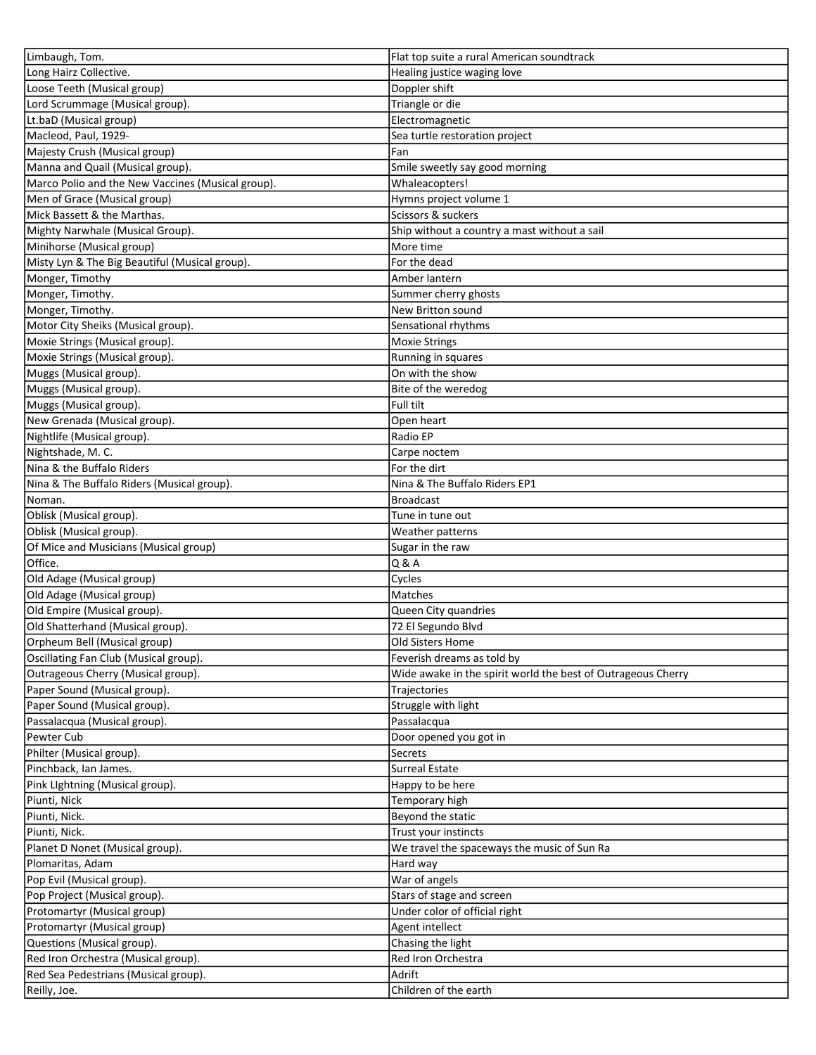| Limbaugh, Tom.                                    | Flat top suite a rural American soundtrack                   |
|---------------------------------------------------|--------------------------------------------------------------|
| Long Hairz Collective.                            | Healing justice waging love                                  |
| Loose Teeth (Musical group)                       | Doppler shift                                                |
| Lord Scrummage (Musical group).                   | Triangle or die                                              |
| Lt.baD (Musical group)                            | Electromagnetic                                              |
| Macleod, Paul, 1929-                              | Sea turtle restoration project                               |
| Majesty Crush (Musical group)                     | Fan                                                          |
| Manna and Quail (Musical group).                  | Smile sweetly say good morning                               |
| Marco Polio and the New Vaccines (Musical group). | Whaleacopters!                                               |
| Men of Grace (Musical group)                      | Hymns project volume 1                                       |
| Mick Bassett & the Marthas.                       | Scissors & suckers                                           |
| Mighty Narwhale (Musical Group).                  | Ship without a country a mast without a sail                 |
| Minihorse (Musical group)                         | More time                                                    |
| Misty Lyn & The Big Beautiful (Musical group).    | For the dead                                                 |
| Monger, Timothy                                   | Amber lantern                                                |
| Monger, Timothy.                                  | Summer cherry ghosts                                         |
| Monger, Timothy.                                  | New Britton sound                                            |
| Motor City Sheiks (Musical group).                | Sensational rhythms                                          |
| Moxie Strings (Musical group).                    | <b>Moxie Strings</b>                                         |
| Moxie Strings (Musical group).                    | Running in squares                                           |
| Muggs (Musical group).                            | On with the show                                             |
| Muggs (Musical group).                            |                                                              |
|                                                   | Bite of the weredog<br>Full tilt                             |
| Muggs (Musical group).                            |                                                              |
| New Grenada (Musical group).                      | Open heart                                                   |
| Nightlife (Musical group).                        | Radio EP                                                     |
| Nightshade, M.C.                                  | Carpe noctem                                                 |
| Nina & the Buffalo Riders                         | For the dirt                                                 |
| Nina & The Buffalo Riders (Musical group).        | Nina & The Buffalo Riders EP1                                |
| Noman.                                            | <b>Broadcast</b>                                             |
| Oblisk (Musical group).                           | Tune in tune out                                             |
| Oblisk (Musical group).                           | Weather patterns                                             |
| Of Mice and Musicians (Musical group)             | Sugar in the raw                                             |
| Office.                                           | Q & A                                                        |
| Old Adage (Musical group)                         | Cycles                                                       |
| Old Adage (Musical group)                         | Matches                                                      |
| Old Empire (Musical group).                       | Queen City quandries                                         |
| Old Shatterhand (Musical group).                  | 72 El Segundo Blvd                                           |
| Orpheum Bell (Musical group)                      | Old Sisters Home                                             |
| Oscillating Fan Club (Musical group).             | Feverish dreams as told by                                   |
| Outrageous Cherry (Musical group).                | Wide awake in the spirit world the best of Outrageous Cherry |
| Paper Sound (Musical group).                      | Trajectories                                                 |
| Paper Sound (Musical group).                      | Struggle with light                                          |
| Passalacqua (Musical group).                      | Passalacqua                                                  |
| Pewter Cub                                        | Door opened you got in                                       |
| Philter (Musical group).                          | Secrets                                                      |
| Pinchback, Ian James.                             | <b>Surreal Estate</b>                                        |
| Pink Lightning (Musical group).                   | Happy to be here                                             |
| Piunti, Nick                                      | Temporary high                                               |
| Piunti, Nick.                                     | Beyond the static                                            |
| Piunti, Nick.                                     | Trust your instincts                                         |
| Planet D Nonet (Musical group).                   | We travel the spaceways the music of Sun Ra                  |
| Plomaritas, Adam                                  | Hard way                                                     |
| Pop Evil (Musical group).                         | War of angels                                                |
| Pop Project (Musical group).                      | Stars of stage and screen                                    |
| Protomartyr (Musical group)                       | Under color of official right                                |
| Protomartyr (Musical group)                       | Agent intellect                                              |
| Questions (Musical group).                        | Chasing the light                                            |
| Red Iron Orchestra (Musical group).               | Red Iron Orchestra                                           |
| Red Sea Pedestrians (Musical group).              | Adrift                                                       |
| Reilly, Joe.                                      | Children of the earth                                        |
|                                                   |                                                              |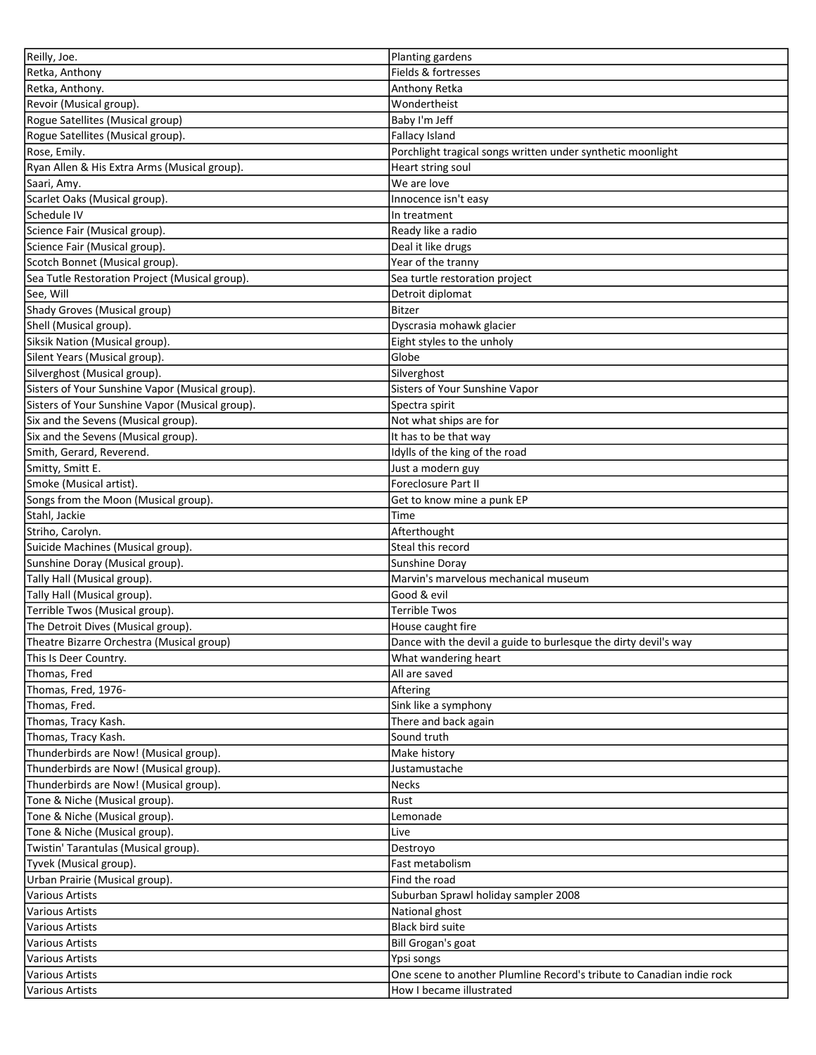| Reilly, Joe.                                    | Planting gardens                                                                                  |
|-------------------------------------------------|---------------------------------------------------------------------------------------------------|
| Retka, Anthony                                  | Fields & fortresses                                                                               |
| Retka, Anthony.                                 | Anthony Retka                                                                                     |
| Revoir (Musical group).                         | Wondertheist                                                                                      |
| Rogue Satellites (Musical group)                | Baby I'm Jeff                                                                                     |
| Rogue Satellites (Musical group).               | <b>Fallacy Island</b>                                                                             |
| Rose, Emily.                                    | Porchlight tragical songs written under synthetic moonlight                                       |
| Ryan Allen & His Extra Arms (Musical group).    | Heart string soul                                                                                 |
| Saari, Amy.                                     | We are love                                                                                       |
| Scarlet Oaks (Musical group).                   | Innocence isn't easy                                                                              |
| Schedule IV                                     | In treatment                                                                                      |
| Science Fair (Musical group).                   | Ready like a radio                                                                                |
| Science Fair (Musical group).                   | Deal it like drugs                                                                                |
| Scotch Bonnet (Musical group).                  | Year of the tranny                                                                                |
| Sea Tutle Restoration Project (Musical group).  | Sea turtle restoration project                                                                    |
| See, Will                                       | Detroit diplomat                                                                                  |
| Shady Groves (Musical group)                    | <b>Bitzer</b>                                                                                     |
| Shell (Musical group).                          | Dyscrasia mohawk glacier                                                                          |
| Siksik Nation (Musical group).                  |                                                                                                   |
| Silent Years (Musical group).                   | Eight styles to the unholy<br>Globe                                                               |
|                                                 |                                                                                                   |
| Silverghost (Musical group).                    | Silverghost                                                                                       |
| Sisters of Your Sunshine Vapor (Musical group). | Sisters of Your Sunshine Vapor                                                                    |
| Sisters of Your Sunshine Vapor (Musical group). | Spectra spirit                                                                                    |
| Six and the Sevens (Musical group).             | Not what ships are for                                                                            |
| Six and the Sevens (Musical group).             | It has to be that way                                                                             |
| Smith, Gerard, Reverend.                        | Idylls of the king of the road                                                                    |
| Smitty, Smitt E.                                | Just a modern guy                                                                                 |
| Smoke (Musical artist).                         | Foreclosure Part II                                                                               |
| Songs from the Moon (Musical group).            | Get to know mine a punk EP                                                                        |
| Stahl, Jackie                                   | Time                                                                                              |
| Striho, Carolyn.                                | Afterthought                                                                                      |
|                                                 |                                                                                                   |
| Suicide Machines (Musical group).               | Steal this record                                                                                 |
| Sunshine Doray (Musical group).                 | Sunshine Doray                                                                                    |
| Tally Hall (Musical group).                     | Marvin's marvelous mechanical museum                                                              |
| Tally Hall (Musical group).                     | Good & evil                                                                                       |
| Terrible Twos (Musical group).                  | Terrible Twos                                                                                     |
| The Detroit Dives (Musical group).              | House caught fire                                                                                 |
| Theatre Bizarre Orchestra (Musical group)       | Dance with the devil a guide to burlesque the dirty devil's way                                   |
| This Is Deer Country.                           | What wandering heart                                                                              |
| Thomas, Fred                                    | All are saved                                                                                     |
| Thomas, Fred, 1976-                             | Aftering                                                                                          |
| Thomas, Fred.                                   | Sink like a symphony                                                                              |
| Thomas, Tracy Kash.                             | There and back again                                                                              |
| Thomas, Tracy Kash.                             | Sound truth                                                                                       |
| Thunderbirds are Now! (Musical group).          | Make history                                                                                      |
| Thunderbirds are Now! (Musical group).          | Justamustache                                                                                     |
| Thunderbirds are Now! (Musical group).          | <b>Necks</b>                                                                                      |
| Tone & Niche (Musical group).                   | Rust                                                                                              |
| Tone & Niche (Musical group).                   | Lemonade                                                                                          |
|                                                 | Live                                                                                              |
| Tone & Niche (Musical group).                   |                                                                                                   |
| Twistin' Tarantulas (Musical group).            | Destroyo                                                                                          |
| Tyvek (Musical group).                          | Fast metabolism<br>Find the road                                                                  |
| Urban Prairie (Musical group).                  |                                                                                                   |
| Various Artists                                 | Suburban Sprawl holiday sampler 2008                                                              |
| Various Artists                                 | National ghost                                                                                    |
| Various Artists                                 | <b>Black bird suite</b>                                                                           |
| Various Artists                                 | Bill Grogan's goat                                                                                |
| Various Artists                                 | Ypsi songs                                                                                        |
| Various Artists<br>Various Artists              | One scene to another Plumline Record's tribute to Canadian indie rock<br>How I became illustrated |